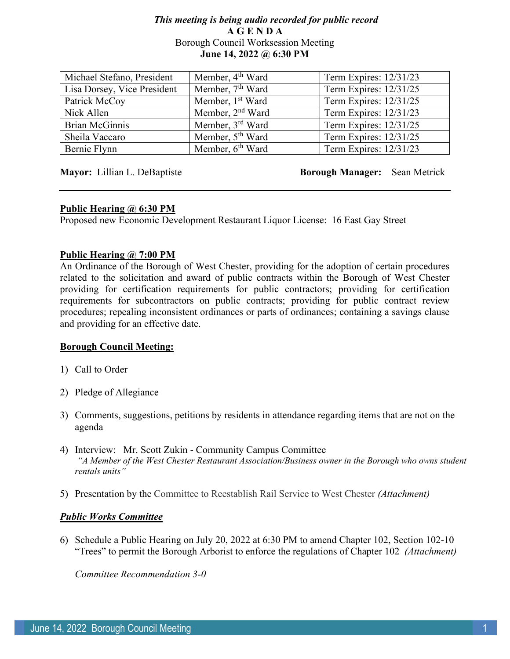#### *This meeting is being audio recorded for public record*  **A G E N D A**  Borough Council Worksession Meeting **June 14, 2022 @ 6:30 PM**

| Michael Stefano, President  | Member, 4 <sup>th</sup> Ward | Term Expires: 12/31/23 |
|-----------------------------|------------------------------|------------------------|
| Lisa Dorsey, Vice President | Member, 7 <sup>th</sup> Ward | Term Expires: 12/31/25 |
| Patrick McCoy               | Member, 1 <sup>st</sup> Ward | Term Expires: 12/31/25 |
| Nick Allen                  | Member, 2 <sup>nd</sup> Ward | Term Expires: 12/31/23 |
| Brian McGinnis              | Member, 3 <sup>rd</sup> Ward | Term Expires: 12/31/25 |
| Sheila Vaccaro              | Member, 5 <sup>th</sup> Ward | Term Expires: 12/31/25 |
| Bernie Flynn                | Member, 6 <sup>th</sup> Ward | Term Expires: 12/31/23 |

**Mayor:** Lillian L. DeBaptiste **Borough Manager:** Sean Metrick

### **Public Hearing @ 6:30 PM**

Proposed new Economic Development Restaurant Liquor License: 16 East Gay Street

## **Public Hearing @ 7:00 PM**

An Ordinance of the Borough of West Chester, providing for the adoption of certain procedures related to the solicitation and award of public contracts within the Borough of West Chester providing for certification requirements for public contractors; providing for certification requirements for subcontractors on public contracts; providing for public contract review procedures; repealing inconsistent ordinances or parts of ordinances; containing a savings clause and providing for an effective date.

### **Borough Council Meeting:**

- 1) Call to Order
- 2) Pledge of Allegiance
- 3) Comments, suggestions, petitions by residents in attendance regarding items that are not on the agenda
- 4) Interview: Mr. Scott Zukin Community Campus Committee  *"A Member of the West Chester Restaurant Association/Business owner in the Borough who owns student rentals units"*
- 5) Presentation by the Committee to Reestablish Rail Service to West Chester *(Attachment)*

# *Public Works Committee*

6) Schedule a Public Hearing on July 20, 2022 at 6:30 PM to amend Chapter 102, Section 102-10 "Trees" to permit the Borough Arborist to enforce the regulations of Chapter 102 *(Attachment)*

*Committee Recommendation 3-0*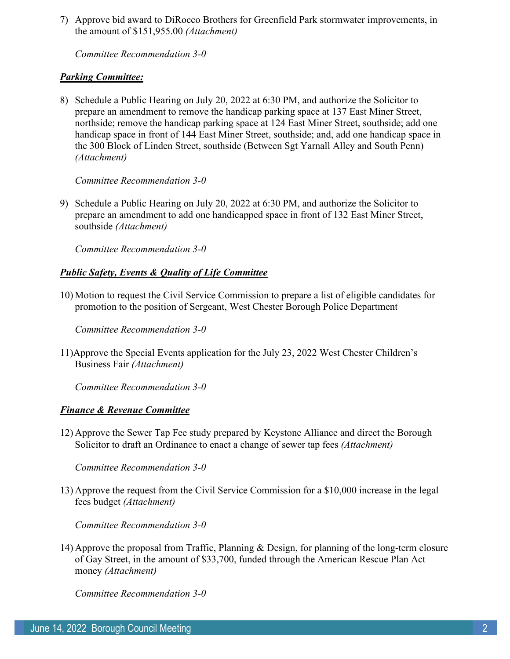7) Approve bid award to DiRocco Brothers for Greenfield Park stormwater improvements, in the amount of \$151,955.00 *(Attachment)*

*Committee Recommendation 3-0*

## *Parking Committee:*

8) Schedule a Public Hearing on July 20, 2022 at 6:30 PM, and authorize the Solicitor to prepare an amendment to remove the handicap parking space at 137 East Miner Street, northside; remove the handicap parking space at 124 East Miner Street, southside; add one handicap space in front of 144 East Miner Street, southside; and, add one handicap space in the 300 Block of Linden Street, southside (Between Sgt Yarnall Alley and South Penn) *(Attachment)*

*Committee Recommendation 3-0*

9) Schedule a Public Hearing on July 20, 2022 at 6:30 PM, and authorize the Solicitor to prepare an amendment to add one handicapped space in front of 132 East Miner Street, southside *(Attachment)*

*Committee Recommendation 3-0*

### *Public Safety, Events & Quality of Life Committee*

10) Motion to request the Civil Service Commission to prepare a list of eligible candidates for promotion to the position of Sergeant, West Chester Borough Police Department

*Committee Recommendation 3-0*

11)Approve the Special Events application for the July 23, 2022 West Chester Children's Business Fair *(Attachment)*

*Committee Recommendation 3-0*

### *Finance & Revenue Committee*

12) Approve the Sewer Tap Fee study prepared by Keystone Alliance and direct the Borough Solicitor to draft an Ordinance to enact a change of sewer tap fees *(Attachment)*

*Committee Recommendation 3-0*

13) Approve the request from the Civil Service Commission for a \$10,000 increase in the legal fees budget *(Attachment)*

*Committee Recommendation 3-0*

14) Approve the proposal from Traffic, Planning & Design, for planning of the long-term closure of Gay Street, in the amount of \$33,700, funded through the American Rescue Plan Act money *(Attachment)*

*Committee Recommendation 3-0*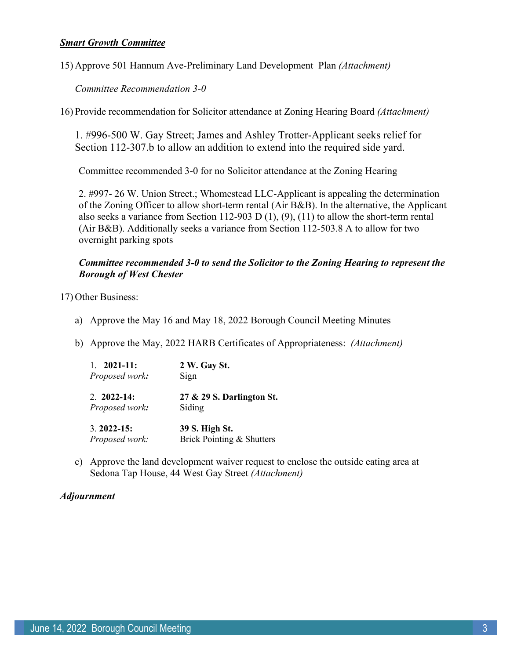### *Smart Growth Committee*

15) Approve 501 Hannum Ave-Preliminary Land Development Plan *(Attachment)*

*Committee Recommendation 3-0* 

16) Provide recommendation for Solicitor attendance at Zoning Hearing Board *(Attachment)*

1. #996-500 W. Gay Street; James and Ashley Trotter-Applicant seeks relief for Section 112-307.b to allow an addition to extend into the required side yard.

Committee recommended 3-0 for no Solicitor attendance at the Zoning Hearing

2. #997- 26 W. Union Street.; Whomestead LLC-Applicant is appealing the determination of the Zoning Officer to allow short-term rental (Air B&B). In the alternative, the Applicant also seeks a variance from Section 112-903 D (1), (9), (11) to allow the short-term rental (Air B&B). Additionally seeks a variance from Section 112-503.8 A to allow for two overnight parking spots

## *Committee recommended 3-0 to send the Solicitor to the Zoning Hearing to represent the Borough of West Chester*

17) Other Business:

- a) Approve the May 16 and May 18, 2022 Borough Council Meeting Minutes
- b) Approve the May, 2022 HARB Certificates of Appropriateness: *(Attachment)*

| $1. \quad 2021 - 11:$ | 2 W. Gay St.              |
|-----------------------|---------------------------|
| Proposed work:        | Sign                      |
| $2.2022 - 14:$        | 27 & 29 S. Darlington St. |
| Proposed work:        | Siding                    |
| $3.2022 - 15$ :       | 39 S. High St.            |
| Proposed work:        | Brick Pointing & Shutters |

c) Approve the land development waiver request to enclose the outside eating area at Sedona Tap House, 44 West Gay Street *(Attachment)*

### *Adjournment*